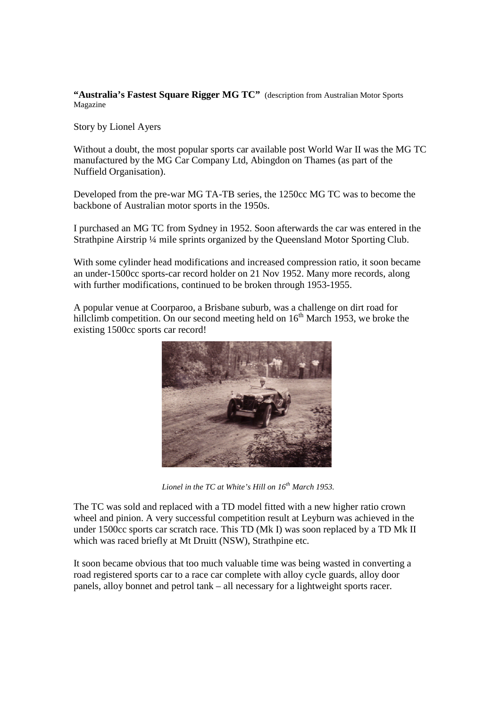"Australia's Fastest Square Rigger MG TC" (description from Australian Motor Sports Magazine

Story by Lionel Ayers

Without a doubt, the most popular sports car available post World War II was the MG TC manufactured by the MG Car Company Ltd, Abingdon on Thames (as part of the Nuffield Organisation).

Developed from the pre-war MG TA-TB series, the 1250cc MG TC was to become the backbone of Australian motor sports in the 1950s.

I purchased an MG TC from Sydney in 1952. Soon afterwards the car was entered in the Strathpine Airstrip ¼ mile sprints organized by the Queensland Motor Sporting Club.

With some cylinder head modifications and increased compression ratio, it soon became an under-1500cc sports-car record holder on 21 Nov 1952. Many more records, along with further modifications, continued to be broken through 1953-1955.

A popular venue at Coorparoo, a Brisbane suburb, was a challenge on dirt road for hillclimb competition. On our second meeting held on  $16<sup>th</sup>$  March 1953, we broke the existing 1500cc sports car record!



*Lionel in the TC at White's Hill on 16th March 1953.*

The TC was sold and replaced with a TD model fitted with a new higher ratio crown wheel and pinion. A very successful competition result at Leyburn was achieved in the under 1500cc sports car scratch race. This TD (Mk I) was soon replaced by a TD Mk II which was raced briefly at Mt Druitt (NSW), Strathpine etc.

It soon became obvious that too much valuable time was being wasted in converting a road registered sports car to a race car complete with alloy cycle guards, alloy door panels, alloy bonnet and petrol tank – all necessary for a lightweight sports racer.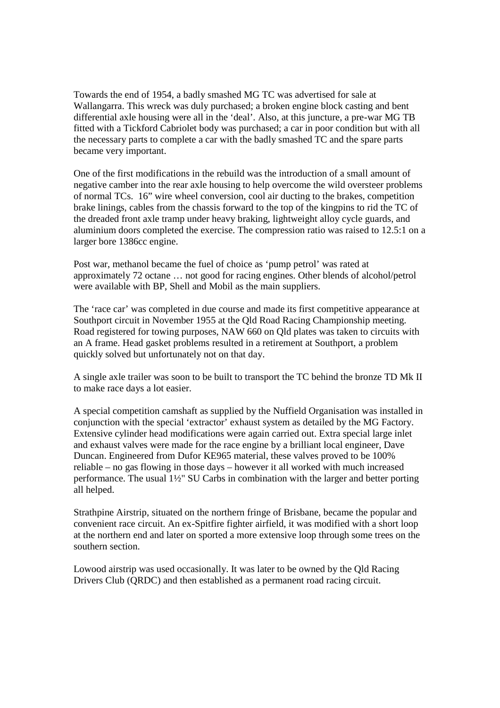Towards the end of 1954, a badly smashed MG TC was advertised for sale at Wallangarra. This wreck was duly purchased; a broken engine block casting and bent differential axle housing were all in the 'deal'. Also, at this juncture, a pre-war MG TB fitted with a Tickford Cabriolet body was purchased; a car in poor condition but with all the necessary parts to complete a car with the badly smashed TC and the spare parts became very important.

One of the first modifications in the rebuild was the introduction of a small amount of negative camber into the rear axle housing to help overcome the wild oversteer problems of normal TCs. 16" wire wheel conversion, cool air ducting to the brakes, competition brake linings, cables from the chassis forward to the top of the kingpins to rid the TC of the dreaded front axle tramp under heavy braking, lightweight alloy cycle guards, and aluminium doors completed the exercise. The compression ratio was raised to 12.5:1 on a larger bore 1386cc engine.

Post war, methanol became the fuel of choice as 'pump petrol' was rated at approximately 72 octane … not good for racing engines. Other blends of alcohol/petrol were available with BP, Shell and Mobil as the main suppliers.

The 'race car' was completed in due course and made its first competitive appearance at Southport circuit in November 1955 at the Qld Road Racing Championship meeting. Road registered for towing purposes, NAW 660 on Qld plates was taken to circuits with an A frame. Head gasket problems resulted in a retirement at Southport, a problem quickly solved but unfortunately not on that day.

A single axle trailer was soon to be built to transport the TC behind the bronze TD Mk II to make race days a lot easier.

A special competition camshaft as supplied by the Nuffield Organisation was installed in conjunction with the special 'extractor' exhaust system as detailed by the MG Factory. Extensive cylinder head modifications were again carried out. Extra special large inlet and exhaust valves were made for the race engine by a brilliant local engineer, Dave Duncan. Engineered from Dufor KE965 material, these valves proved to be 100% reliable – no gas flowing in those days – however it all worked with much increased performance. The usual 1½" SU Carbs in combination with the larger and better porting all helped.

Strathpine Airstrip, situated on the northern fringe of Brisbane, became the popular and convenient race circuit. An ex-Spitfire fighter airfield, it was modified with a short loop at the northern end and later on sported a more extensive loop through some trees on the southern section.

Lowood airstrip was used occasionally. It was later to be owned by the Qld Racing Drivers Club (QRDC) and then established as a permanent road racing circuit.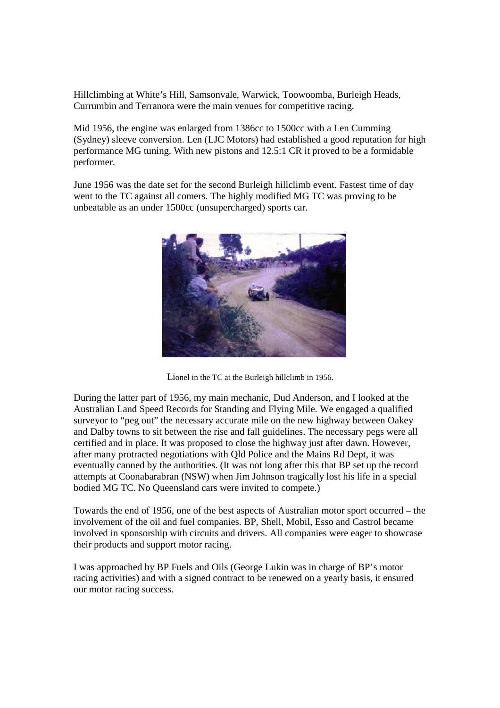Hillclimbing at White's Hill, Samsonvale, Warwick, Toowoomba, Burleigh Heads, Currumbin and Terranora were the main venues for competitive racing.

Mid 1956, the engine was enlarged from 1386cc to 1500cc with a Len Cumming (Sydney) sleeve conversion. Len (LJC Motors) had established a good reputation for high performance MG tuning. With new pistons and 12.5:1 CR it proved to be a formidable performer.

June 1956 was the date set for the second Burleigh hillclimb event. Fastest time of day went to the TC against all comers. The highly modified MG TC was proving to be unbeatable as an under 1500cc (unsupercharged) sports car.



Lionel in the TC at the Burleigh hillclimb in 1956.

During the latter part of 1956, my main mechanic, Dud Anderson, and I looked at the Australian Land Speed Records for Standing and Flying Mile. We engaged a qualified surveyor to "peg out" the necessary accurate mile on the new highway between Oakey and Dalby towns to sit between the rise and fall guidelines. The necessary pegs were all certified and in place. It was proposed to close the highway just after dawn. However, after many protracted negotiations with Qld Police and the Mains Rd Dept, it was eventually canned by the authorities. (It was not long after this that BP set up the record attempts at Coonabarabran (NSW) when Jim Johnson tragically lost his life in a special bodied MG TC. No Queensland cars were invited to compete.)

Towards the end of 1956, one of the best aspects of Australian motor sport occurred – the involvement of the oil and fuel companies. BP, Shell, Mobil, Esso and Castrol became involved in sponsorship with circuits and drivers. All companies were eager to showcase their products and support motor racing.

I was approached by BP Fuels and Oils (George Lukin was in charge of BP's motor racing activities) and with a signed contract to be renewed on a yearly basis, it ensured our motor racing success.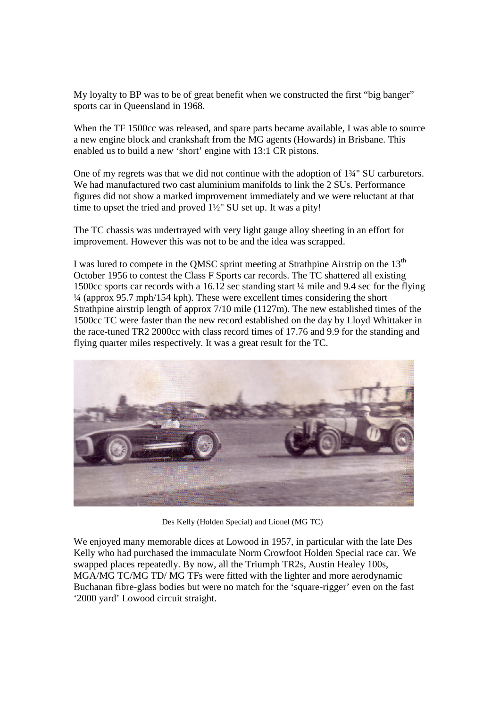My loyalty to BP was to be of great benefit when we constructed the first "big banger" sports car in Queensland in 1968.

When the TF 1500cc was released, and spare parts became available, I was able to source a new engine block and crankshaft from the MG agents (Howards) in Brisbane. This enabled us to build a new 'short' engine with 13:1 CR pistons.

One of my regrets was that we did not continue with the adoption of 1¾" SU carburetors. We had manufactured two cast aluminium manifolds to link the 2 SUs. Performance figures did not show a marked improvement immediately and we were reluctant at that time to upset the tried and proved 1½" SU set up. It was a pity!

The TC chassis was undertrayed with very light gauge alloy sheeting in an effort for improvement. However this was not to be and the idea was scrapped.

I was lured to compete in the QMSC sprint meeting at Strathpine Airstrip on the 13<sup>th</sup> October 1956 to contest the Class F Sports car records. The TC shattered all existing 1500cc sports car records with a 16.12 sec standing start ¼ mile and 9.4 sec for the flying ¼ (approx 95.7 mph/154 kph). These were excellent times considering the short Strathpine airstrip length of approx  $7/10$  mile  $(1127m)$ . The new established times of the 1500cc TC were faster than the new record established on the day by Lloyd Whittaker in the race-tuned TR2 2000cc with class record times of 17.76 and 9.9 for the standing and flying quarter miles respectively. It was a great result for the TC.



Des Kelly (Holden Special) and Lionel (MG TC)

We enjoyed many memorable dices at Lowood in 1957, in particular with the late Des Kelly who had purchased the immaculate Norm Crowfoot Holden Special race car. We swapped places repeatedly. By now, all the Triumph TR2s, Austin Healey 100s, MGA/MG TC/MG TD/ MG TFs were fitted with the lighter and more aerodynamic Buchanan fibre-glass bodies but were no match for the 'square-rigger' even on the fast '2000 yard' Lowood circuit straight.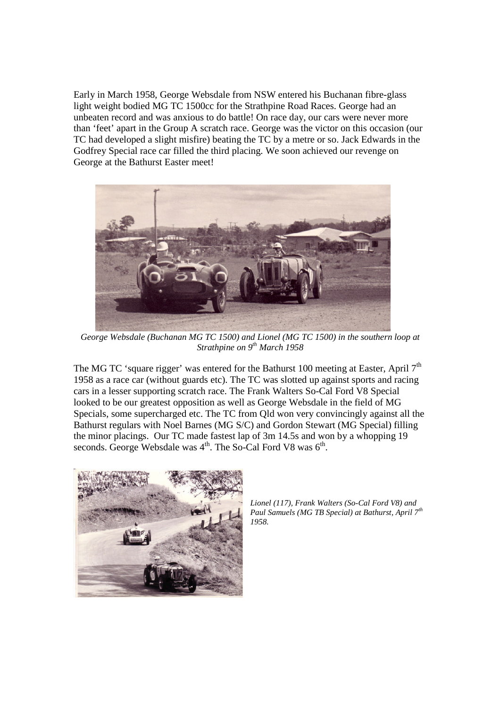Early in March 1958, George Websdale from NSW entered his Buchanan fibre-glass light weight bodied MG TC 1500cc for the Strathpine Road Races. George had an unbeaten record and was anxious to do battle! On race day, our cars were never more than 'feet' apart in the Group A scratch race. George was the victor on this occasion (our TC had developed a slight misfire) beating the TC by a metre or so. Jack Edwards in the Godfrey Special race car filled the third placing. We soon achieved our revenge on George at the Bathurst Easter meet!



*George Websdale (Buchanan MG TC 1500) and Lionel (MG TC 1500) in the southern loop at Strathpine on 9th March 1958*

The MG TC 'square rigger' was entered for the Bathurst 100 meeting at Easter, April 7<sup>th</sup> 1958 as a race car (without guards etc). The TC was slotted up against sports and racing cars in a lesser supporting scratch race. The Frank Walters So-Cal Ford V8 Special looked to be our greatest opposition as well as George Websdale in the field of MG Specials, some supercharged etc. The TC from Qld won very convincingly against all the Bathurst regulars with Noel Barnes (MG S/C) and Gordon Stewart (MG Special) filling the minor placings. Our TC made fastest lap of 3m 14.5s and won by a whopping 19 seconds. George Websdale was  $4<sup>th</sup>$ . The So-Cal Ford V8 was  $6<sup>th</sup>$ .



*Lionel (117), Frank Walters (So-Cal Ford V8) and Paul Samuels (MG TB Special) at Bathurst, April 7th 1958.*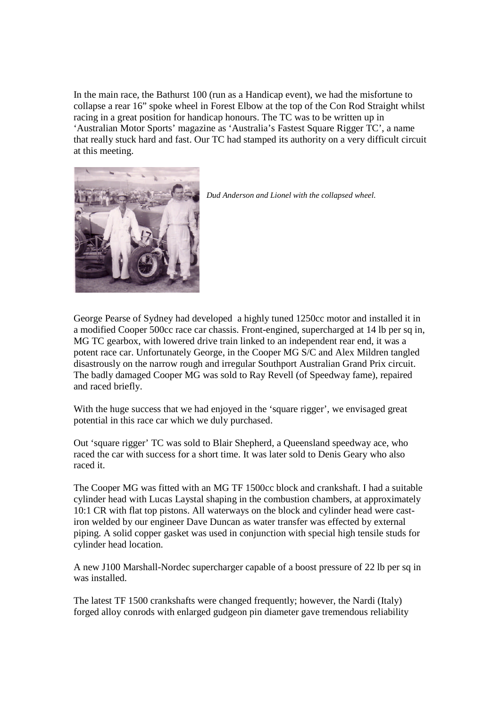In the main race, the Bathurst 100 (run as a Handicap event), we had the misfortune to collapse a rear 16" spoke wheel in Forest Elbow at the top of the Con Rod Straight whilst racing in a great position for handicap honours. The TC was to be written up in 'Australian Motor Sports' magazine as 'Australia's Fastest Square Rigger TC', a name that really stuck hard and fast. Our TC had stamped its authority on a very difficult circuit at this meeting.





George Pearse of Sydney had developed a highly tuned 1250cc motor and installed it in a modified Cooper 500cc race car chassis. Front-engined, supercharged at 14 lb per sq in, MG TC gearbox, with lowered drive train linked to an independent rear end, it was a potent race car. Unfortunately George, in the Cooper MG S/C and Alex Mildren tangled disastrously on the narrow rough and irregular Southport Australian Grand Prix circuit. The badly damaged Cooper MG was sold to Ray Revell (of Speedway fame), repaired and raced briefly.

With the huge success that we had enjoyed in the 'square rigger', we envisaged great potential in this race car which we duly purchased.

Out 'square rigger' TC was sold to Blair Shepherd, a Queensland speedway ace, who raced the car with success for a short time. It was later sold to Denis Geary who also raced it.

The Cooper MG was fitted with an MG TF 1500cc block and crankshaft. I had a suitable cylinder head with Lucas Laystal shaping in the combustion chambers, at approximately 10:1 CR with flat top pistons. All waterways on the block and cylinder head were castiron welded by our engineer Dave Duncan as water transfer was effected by external piping. A solid copper gasket was used in conjunction with special high tensile studs for cylinder head location.

A new J100 Marshall-Nordec supercharger capable of a boost pressure of 22 lb per sq in was installed.

The latest TF 1500 crankshafts were changed frequently; however, the Nardi (Italy) forged alloy conrods with enlarged gudgeon pin diameter gave tremendous reliability